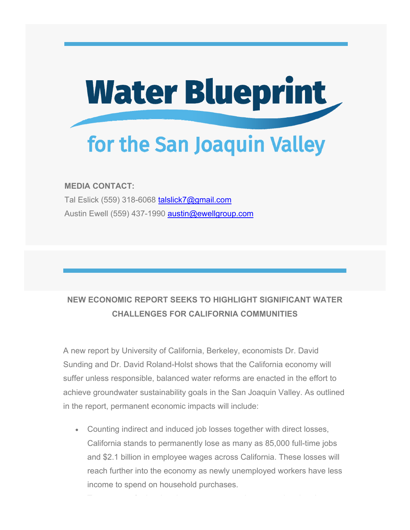

## **MEDIA CONTACT:**

Tal Eslick (559) 318-6068 talslick7@gmail.com Austin Ewell (559) 437-1990 austin@ewellgroup.com

## **NEW ECONOMIC REPORT SEEKS TO HIGHLIGHT SIGNIFICANT WATER CHALLENGES FOR CALIFORNIA COMMUNITIES**

1

A new report by University of California, Berkeley, economists Dr. David Sunding and Dr. David Roland-Holst shows that the California economy will suffer unless responsible, balanced water reforms are enacted in the effort to achieve groundwater sustainability goals in the San Joaquin Valley. As outlined in the report, permanent economic impacts will include:

 Counting indirect and induced job losses together with direct losses, California stands to permanently lose as many as 85,000 full-time jobs and \$2.1 billion in employee wages across California. These losses will reach further into the economy as newly unemployed workers have less income to spend on household purchases.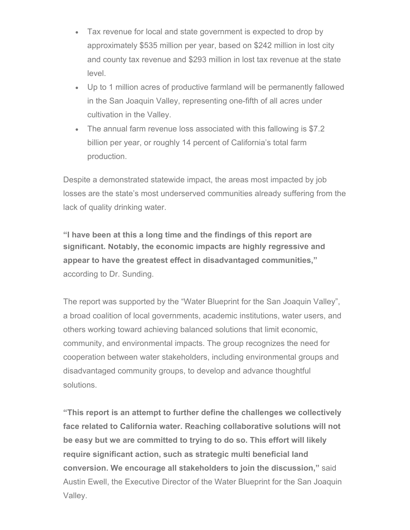- Tax revenue for local and state government is expected to drop by approximately \$535 million per year, based on \$242 million in lost city and county tax revenue and \$293 million in lost tax revenue at the state level.
- Up to 1 million acres of productive farmland will be permanently fallowed in the San Joaquin Valley, representing one-fifth of all acres under cultivation in the Valley.
- The annual farm revenue loss associated with this fallowing is \$7.2 billion per year, or roughly 14 percent of California's total farm production.

Despite a demonstrated statewide impact, the areas most impacted by job losses are the state's most underserved communities already suffering from the lack of quality drinking water.

**significant. Notably, the economic impacts are highly regressive and appear to have the greatest effect in disadvantaged communities,"**  2 according to Dr. Sunding. **"I have been at this a long time and the findings of this report are** 

The report was supported by the "Water Blueprint for the San Joaquin Valley", a broad coalition of local governments, academic institutions, water users, and others working toward achieving balanced solutions that limit economic, community, and environmental impacts. The group recognizes the need for cooperation between water stakeholders, including environmental groups and disadvantaged community groups, to develop and advance thoughtful solutions.

**"This report is an attempt to further define the challenges we collectively face related to California water. Reaching collaborative solutions will not be easy but we are committed to trying to do so. This effort will likely require significant action, such as strategic multi beneficial land conversion. We encourage all stakeholders to join the discussion,"** said Austin Ewell, the Executive Director of the Water Blueprint for the San Joaquin Valley.